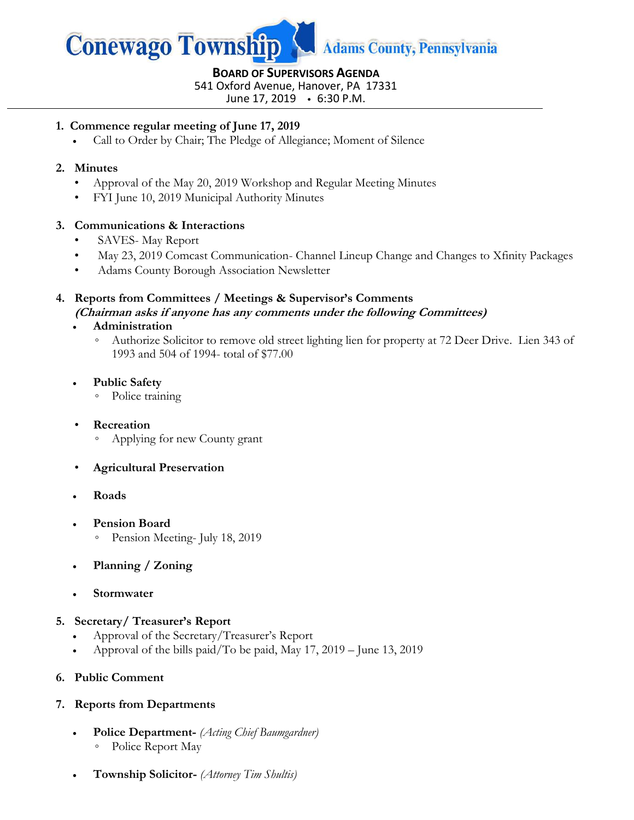

# **BOARD OF SUPERVISORS AGENDA**

541 Oxford Avenue, Hanover, PA 17331

June 17, 2019 6:30 P.M.

## **1. Commence regular meeting of June 17, 2019**

Call to Order by Chair; The Pledge of Allegiance; Moment of Silence

## **2. Minutes**

- Approval of the May 20, 2019 Workshop and Regular Meeting Minutes
- FYI June 10, 2019 Municipal Authority Minutes

## **3. Communications & Interactions**

- SAVES-May Report
- May 23, 2019 Comcast Communication- Channel Lineup Change and Changes to Xfinity Packages
- Adams County Borough Association Newsletter

## **4. Reports from Committees / Meetings & Supervisor's Comments (Chairman asks if anyone has any comments under the following Committees)**

## **Administration**

- Authorize Solicitor to remove old street lighting lien for property at 72 Deer Drive. Lien 343 of 1993 and 504 of 1994- total of \$77.00
- **Public Safety**
	- Police training

## • **Recreation**

- Applying for new County grant
- **Agricultural Preservation**
- **Roads**
- **Pension Board** 
	- Pension Meeting- July 18, 2019
- **Planning / Zoning**
- **Stormwater**

#### **5. Secretary/ Treasurer's Report**

- Approval of the Secretary/Treasurer's Report
- Approval of the bills paid/To be paid, May 17, 2019 June 13, 2019

## **6. Public Comment**

## **7. Reports from Departments**

- **Police Department-** *(Acting Chief Baumgardner)* ◦ Police Report May
- **Township Solicitor-** *(Attorney Tim Shultis)*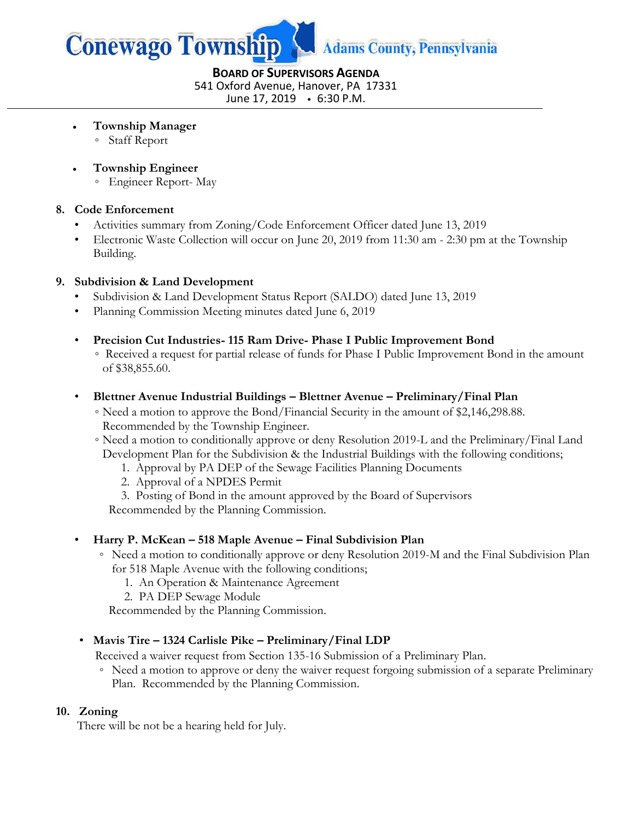

**BOARD OF SUPERVISORS AGENDA** 541 Oxford Avenue, Hanover, PA 17331 June 17, 2019 6:30 P.M.

- **Township Manager**
	- Staff Report
- **Township Engineer**
	- Engineer Report- May

#### **8. Code Enforcement**

- Activities summary from Zoning/Code Enforcement Officer dated June 13, 2019
- Electronic Waste Collection will occur on June 20, 2019 from 11:30 am 2:30 pm at the Township Building.

#### **9. Subdivision & Land Development**

- Subdivision & Land Development Status Report (SALDO) dated June 13, 2019
- Planning Commission Meeting minutes dated June 6, 2019
- **Precision Cut Industries- 115 Ram Drive- Phase I Public Improvement Bond**
	- Received a request for partial release of funds for Phase I Public Improvement Bond in the amount of \$38,855.60.
- **Blettner Avenue Industrial Buildings – Blettner Avenue – Preliminary/Final Plan** 
	- ◦Need a motion to approve the Bond/Financial Security in the amount of \$2,146,298.88. Recommended by the Township Engineer.
	- ◦Need a motion to conditionally approve or deny Resolution 2019-L and the Preliminary/Final Land Development Plan for the Subdivision & the Industrial Buildings with the following conditions;
		- 1. Approval by PA DEP of the Sewage Facilities Planning Documents
		- 2. Approval of a NPDES Permit
		- 3. Posting of Bond in the amount approved by the Board of Supervisors

Recommended by the Planning Commission.

#### • **Harry P. McKean – 518 Maple Avenue – Final Subdivision Plan**

- Need a motion to conditionally approve or deny Resolution 2019-M and the Final Subdivision Plan for 518 Maple Avenue with the following conditions;
	- 1. An Operation & Maintenance Agreement
	- 2. PA DEP Sewage Module

Recommended by the Planning Commission.

#### • **Mavis Tire – 1324 Carlisle Pike – Preliminary/Final LDP**

Received a waiver request from Section 135-16 Submission of a Preliminary Plan.

◦ Need a motion to approve or deny the waiver request forgoing submission of a separate Preliminary Plan. Recommended by the Planning Commission.

#### **10. Zoning**

There will be not be a hearing held for July.